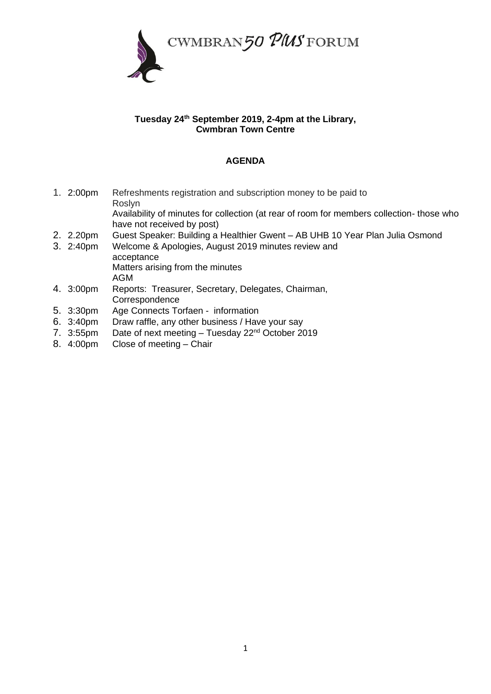

## **Tuesday 24th September 2019, 2-4pm at the Library, Cwmbran Town Centre**

## **AGENDA**

- 1. 2:00pm Refreshments registration and subscription money to be paid to Roslyn Availability of minutes for collection (at rear of room for members collection- those who have not received by post)
- 2. 2.20pm Guest Speaker: Building a Healthier Gwent AB UHB 10 Year Plan Julia Osmond
- 3. 2:40pm Welcome & Apologies, August 2019 minutes review and acceptance Matters arising from the minutes AGM
- 4. 3:00pm Reports: Treasurer, Secretary, Delegates, Chairman, Correspondence
- 5. 3:30pm Age Connects Torfaen information
- 6. 3:40pm Draw raffle, any other business / Have your say
- 7. 3:55pm Date of next meeting Tuesday 22nd October 2019
- 8. 4:00pm Close of meeting Chair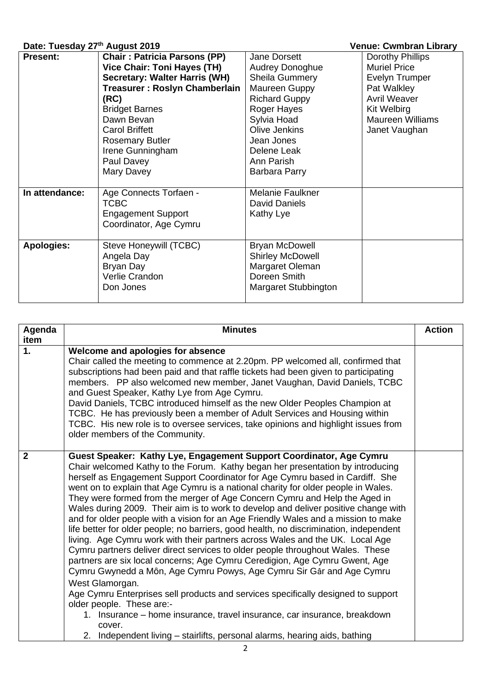## **Date: Tuesday 27th August 2019 Venue: Cwmbran Library**

| Date: Tuesday Zi "" August Zu 19 |                                      |                         | venue: Cwrnoran Library |
|----------------------------------|--------------------------------------|-------------------------|-------------------------|
| <b>Present:</b>                  | <b>Chair: Patricia Parsons (PP)</b>  | Jane Dorsett            | Dorothy Phillips        |
|                                  | <b>Vice Chair: Toni Hayes (TH)</b>   | <b>Audrey Donoghue</b>  | <b>Muriel Price</b>     |
|                                  | <b>Secretary: Walter Harris (WH)</b> | Sheila Gummery          | Evelyn Trumper          |
|                                  | Treasurer: Roslyn Chamberlain        | Maureen Guppy           | Pat Walkley             |
|                                  | (RC)                                 | <b>Richard Guppy</b>    | <b>Avril Weaver</b>     |
|                                  | <b>Bridget Barnes</b>                | Roger Hayes             | Kit Welbirg             |
|                                  | Dawn Bevan                           | Sylvia Hoad             | <b>Maureen Williams</b> |
|                                  | <b>Carol Briffett</b>                | Olive Jenkins           | Janet Vaughan           |
|                                  | <b>Rosemary Butler</b>               | Jean Jones              |                         |
|                                  | Irene Gunningham                     | Delene Leak             |                         |
|                                  | Paul Davey                           | Ann Parish              |                         |
|                                  | Mary Davey                           | Barbara Parry           |                         |
|                                  |                                      |                         |                         |
| In attendance:                   | Age Connects Torfaen -               | Melanie Faulkner        |                         |
|                                  | <b>TCBC</b>                          | David Daniels           |                         |
|                                  | <b>Engagement Support</b>            | Kathy Lye               |                         |
|                                  | Coordinator, Age Cymru               |                         |                         |
|                                  |                                      |                         |                         |
| <b>Apologies:</b>                | Steve Honeywill (TCBC)               | <b>Bryan McDowell</b>   |                         |
|                                  | Angela Day                           | <b>Shirley McDowell</b> |                         |
|                                  | Bryan Day                            | Margaret Oleman         |                         |
|                                  | Verlie Crandon                       | Doreen Smith            |                         |
|                                  | Don Jones                            | Margaret Stubbington    |                         |
|                                  |                                      |                         |                         |

| Agenda       | <b>Minutes</b>                                                                                                                                                                                                                                                                                                                                                                                                                                                                                                                                                                                                                                                                                                                                                                                                                                                                                                                                                                                                                                                                                                                                                                                                                                                                                                         | <b>Action</b> |
|--------------|------------------------------------------------------------------------------------------------------------------------------------------------------------------------------------------------------------------------------------------------------------------------------------------------------------------------------------------------------------------------------------------------------------------------------------------------------------------------------------------------------------------------------------------------------------------------------------------------------------------------------------------------------------------------------------------------------------------------------------------------------------------------------------------------------------------------------------------------------------------------------------------------------------------------------------------------------------------------------------------------------------------------------------------------------------------------------------------------------------------------------------------------------------------------------------------------------------------------------------------------------------------------------------------------------------------------|---------------|
| item         |                                                                                                                                                                                                                                                                                                                                                                                                                                                                                                                                                                                                                                                                                                                                                                                                                                                                                                                                                                                                                                                                                                                                                                                                                                                                                                                        |               |
| 1.           | Welcome and apologies for absence<br>Chair called the meeting to commence at 2.20pm. PP welcomed all, confirmed that<br>subscriptions had been paid and that raffle tickets had been given to participating<br>members. PP also welcomed new member, Janet Vaughan, David Daniels, TCBC<br>and Guest Speaker, Kathy Lye from Age Cymru.<br>David Daniels, TCBC introduced himself as the new Older Peoples Champion at<br>TCBC. He has previously been a member of Adult Services and Housing within<br>TCBC. His new role is to oversee services, take opinions and highlight issues from<br>older members of the Community.                                                                                                                                                                                                                                                                                                                                                                                                                                                                                                                                                                                                                                                                                          |               |
| $\mathbf{2}$ | Guest Speaker: Kathy Lye, Engagement Support Coordinator, Age Cymru<br>Chair welcomed Kathy to the Forum. Kathy began her presentation by introducing<br>herself as Engagement Support Coordinator for Age Cymru based in Cardiff. She<br>went on to explain that Age Cymru is a national charity for older people in Wales.<br>They were formed from the merger of Age Concern Cymru and Help the Aged in<br>Wales during 2009. Their aim is to work to develop and deliver positive change with<br>and for older people with a vision for an Age Friendly Wales and a mission to make<br>life better for older people; no barriers, good health, no discrimination, independent<br>living. Age Cymru work with their partners across Wales and the UK. Local Age<br>Cymru partners deliver direct services to older people throughout Wales. These<br>partners are six local concerns; Age Cymru Ceredigion, Age Cymru Gwent, Age<br>Cymru Gwynedd a Môn, Age Cymru Powys, Age Cymru Sir Gâr and Age Cymru<br>West Glamorgan.<br>Age Cymru Enterprises sell products and services specifically designed to support<br>older people. These are:-<br>1. Insurance – home insurance, travel insurance, car insurance, breakdown<br>cover.<br>2. Independent living - stairlifts, personal alarms, hearing aids, bathing |               |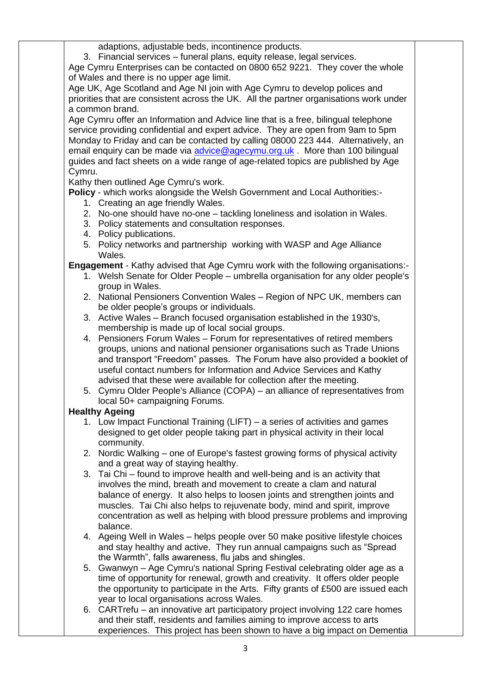adaptions, adjustable beds, incontinence products.

3. Financial services – funeral plans, equity release, legal services.

Age Cymru Enterprises can be contacted on 0800 652 9221. They cover the whole of Wales and there is no upper age limit.

Age UK, Age Scotland and Age NI join with Age Cymru to develop polices and priorities that are consistent across the UK. All the partner organisations work under a common brand.

Age Cymru offer an Information and Advice line that is a free, bilingual telephone service providing confidential and expert advice. They are open from 9am to 5pm Monday to Friday and can be contacted by calling 08000 223 444. Alternatively, an email enquiry can be made via [advice@agecymu.org.uk](mailto:advice@agecymu.org.uk) More than 100 bilingual guides and fact sheets on a wide range of age-related topics are published by Age Cymru.

Kathy then outlined Age Cymru's work.

**Policy** - which works alongside the Welsh Government and Local Authorities:-

- 1. Creating an age friendly Wales.
- 2. No-one should have no-one tackling loneliness and isolation in Wales.
- 3. Policy statements and consultation responses.
- 4. Policy publications.
- 5. Policy networks and partnership working with WASP and Age Alliance Wales.

**Engagement** - Kathy advised that Age Cymru work with the following organisations:-

- 1. Welsh Senate for Older People umbrella organisation for any older people's group in Wales.
- 2. National Pensioners Convention Wales Region of NPC UK, members can be older people's groups or individuals.
- 3. Active Wales Branch focused organisation established in the 1930's, membership is made up of local social groups.
- 4. Pensioners Forum Wales Forum for representatives of retired members groups, unions and national pensioner organisations such as Trade Unions and transport "Freedom" passes. The Forum have also provided a booklet of useful contact numbers for Information and Advice Services and Kathy advised that these were available for collection after the meeting.
- 5. Cymru Older People's Alliance (COPA) an alliance of representatives from local 50+ campaigning Forums.

## **Healthy Ageing**

- 1. Low Impact Functional Training (LIFT) a series of activities and games designed to get older people taking part in physical activity in their local community.
- 2. Nordic Walking one of Europe's fastest growing forms of physical activity and a great way of staying healthy.
- 3. Tai Chi found to improve health and well-being and is an activity that involves the mind, breath and movement to create a clam and natural balance of energy. It also helps to loosen joints and strengthen joints and muscles. Tai Chi also helps to rejuvenate body, mind and spirit, improve concentration as well as helping with blood pressure problems and improving balance.
- 4. Ageing Well in Wales helps people over 50 make positive lifestyle choices and stay healthy and active. They run annual campaigns such as "Spread the Warmth", falls awareness, flu jabs and shingles.
- 5. Gwanwyn Age Cymru's national Spring Festival celebrating older age as a time of opportunity for renewal, growth and creativity. It offers older people the opportunity to participate in the Arts. Fifty grants of £500 are issued each year to local organisations across Wales.
- 6. CARTrefu an innovative art participatory project involving 122 care homes and their staff, residents and families aiming to improve access to arts experiences. This project has been shown to have a big impact on Dementia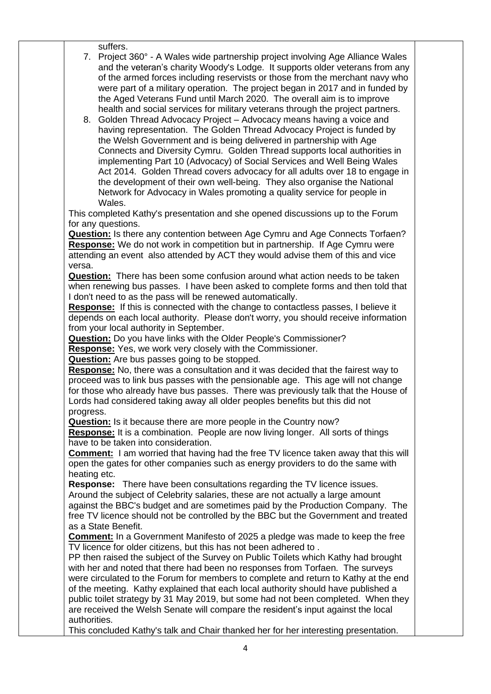suffers.

7. Project 360° - A Wales wide partnership project involving Age Alliance Wales and the veteran's charity Woody's Lodge. It supports older veterans from any of the armed forces including reservists or those from the merchant navy who were part of a military operation. The project began in 2017 and in funded by the Aged Veterans Fund until March 2020. The overall aim is to improve health and social services for military veterans through the project partners.

8. Golden Thread Advocacy Project – Advocacy means having a voice and having representation. The Golden Thread Advocacy Project is funded by the Welsh Government and is being delivered in partnership with Age Connects and Diversity Cymru. Golden Thread supports local authorities in implementing Part 10 (Advocacy) of Social Services and Well Being Wales Act 2014. Golden Thread covers advocacy for all adults over 18 to engage in the development of their own well-being. They also organise the National Network for Advocacy in Wales promoting a quality service for people in Wales.

This completed Kathy's presentation and she opened discussions up to the Forum for any questions.

**Question:** Is there any contention between Age Cymru and Age Connects Torfaen? **Response:** We do not work in competition but in partnership. If Age Cymru were attending an event also attended by ACT they would advise them of this and vice versa.

**Question:** There has been some confusion around what action needs to be taken when renewing bus passes. I have been asked to complete forms and then told that I don't need to as the pass will be renewed automatically.

**Response:** If this is connected with the change to contactless passes, I believe it depends on each local authority. Please don't worry, you should receive information from your local authority in September.

**Question:** Do you have links with the Older People's Commissioner?

**Response:** Yes, we work very closely with the Commissioner.

**Question:** Are bus passes going to be stopped.

**Response:** No, there was a consultation and it was decided that the fairest way to proceed was to link bus passes with the pensionable age. This age will not change for those who already have bus passes. There was previously talk that the House of Lords had considered taking away all older peoples benefits but this did not progress.

**Question:** Is it because there are more people in the Country now?

**Response:** It is a combination. People are now living longer. All sorts of things have to be taken into consideration.

**Comment:** I am worried that having had the free TV licence taken away that this will open the gates for other companies such as energy providers to do the same with heating etc.

**Response:** There have been consultations regarding the TV licence issues. Around the subject of Celebrity salaries, these are not actually a large amount against the BBC's budget and are sometimes paid by the Production Company. The free TV licence should not be controlled by the BBC but the Government and treated

as a State Benefit.

**Comment:** In a Government Manifesto of 2025 a pledge was made to keep the free TV licence for older citizens, but this has not been adhered to .

PP then raised the subject of the Survey on Public Toilets which Kathy had brought with her and noted that there had been no responses from Torfaen. The surveys were circulated to the Forum for members to complete and return to Kathy at the end of the meeting. Kathy explained that each local authority should have published a public toilet strategy by 31 May 2019, but some had not been completed. When they are received the Welsh Senate will compare the resident's input against the local authorities.

This concluded Kathy's talk and Chair thanked her for her interesting presentation.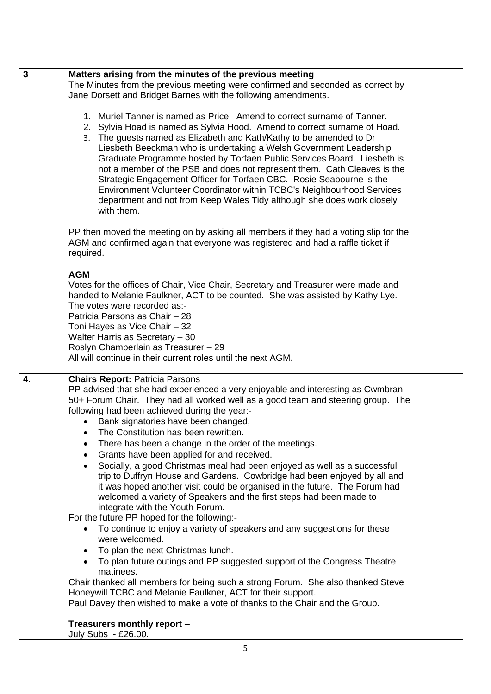| 3  | Matters arising from the minutes of the previous meeting<br>The Minutes from the previous meeting were confirmed and seconded as correct by<br>Jane Dorsett and Bridget Barnes with the following amendments.                                                                                                                                                                                                                                                                                                                                                                                                                                                                                                                                                                                                                                                                                                                                                                                                                                                                                                                                                                                                                                                                                                                                                                              |  |
|----|--------------------------------------------------------------------------------------------------------------------------------------------------------------------------------------------------------------------------------------------------------------------------------------------------------------------------------------------------------------------------------------------------------------------------------------------------------------------------------------------------------------------------------------------------------------------------------------------------------------------------------------------------------------------------------------------------------------------------------------------------------------------------------------------------------------------------------------------------------------------------------------------------------------------------------------------------------------------------------------------------------------------------------------------------------------------------------------------------------------------------------------------------------------------------------------------------------------------------------------------------------------------------------------------------------------------------------------------------------------------------------------------|--|
|    | 1. Muriel Tanner is named as Price. Amend to correct surname of Tanner.<br>2. Sylvia Hoad is named as Sylvia Hood. Amend to correct surname of Hoad.<br>3. The guests named as Elizabeth and Kath/Kathy to be amended to Dr<br>Liesbeth Beeckman who is undertaking a Welsh Government Leadership<br>Graduate Programme hosted by Torfaen Public Services Board. Liesbeth is<br>not a member of the PSB and does not represent them. Cath Cleaves is the<br>Strategic Engagement Officer for Torfaen CBC. Rosie Seabourne is the<br>Environment Volunteer Coordinator within TCBC's Neighbourhood Services<br>department and not from Keep Wales Tidy although she does work closely<br>with them.                                                                                                                                                                                                                                                                                                                                                                                                                                                                                                                                                                                                                                                                                         |  |
|    | PP then moved the meeting on by asking all members if they had a voting slip for the<br>AGM and confirmed again that everyone was registered and had a raffle ticket if<br>required.                                                                                                                                                                                                                                                                                                                                                                                                                                                                                                                                                                                                                                                                                                                                                                                                                                                                                                                                                                                                                                                                                                                                                                                                       |  |
|    | <b>AGM</b><br>Votes for the offices of Chair, Vice Chair, Secretary and Treasurer were made and<br>handed to Melanie Faulkner, ACT to be counted. She was assisted by Kathy Lye.<br>The votes were recorded as:-<br>Patricia Parsons as Chair - 28<br>Toni Hayes as Vice Chair - 32<br>Walter Harris as Secretary - 30<br>Roslyn Chamberlain as Treasurer - 29<br>All will continue in their current roles until the next AGM.                                                                                                                                                                                                                                                                                                                                                                                                                                                                                                                                                                                                                                                                                                                                                                                                                                                                                                                                                             |  |
| 4. | <b>Chairs Report: Patricia Parsons</b><br>PP advised that she had experienced a very enjoyable and interesting as Cwmbran<br>50+ Forum Chair. They had all worked well as a good team and steering group. The<br>following had been achieved during the year:-<br>Bank signatories have been changed,<br>The Constitution has been rewritten.<br>$\bullet$<br>There has been a change in the order of the meetings.<br>٠<br>Grants have been applied for and received.<br>Socially, a good Christmas meal had been enjoyed as well as a successful<br>trip to Duffryn House and Gardens. Cowbridge had been enjoyed by all and<br>it was hoped another visit could be organised in the future. The Forum had<br>welcomed a variety of Speakers and the first steps had been made to<br>integrate with the Youth Forum.<br>For the future PP hoped for the following:-<br>To continue to enjoy a variety of speakers and any suggestions for these<br>$\bullet$<br>were welcomed.<br>To plan the next Christmas lunch.<br>$\bullet$<br>To plan future outings and PP suggested support of the Congress Theatre<br>matinees.<br>Chair thanked all members for being such a strong Forum. She also thanked Steve<br>Honeywill TCBC and Melanie Faulkner, ACT for their support.<br>Paul Davey then wished to make a vote of thanks to the Chair and the Group.<br>Treasurers monthly report - |  |
|    | July Subs - £26.00.                                                                                                                                                                                                                                                                                                                                                                                                                                                                                                                                                                                                                                                                                                                                                                                                                                                                                                                                                                                                                                                                                                                                                                                                                                                                                                                                                                        |  |
|    | 5                                                                                                                                                                                                                                                                                                                                                                                                                                                                                                                                                                                                                                                                                                                                                                                                                                                                                                                                                                                                                                                                                                                                                                                                                                                                                                                                                                                          |  |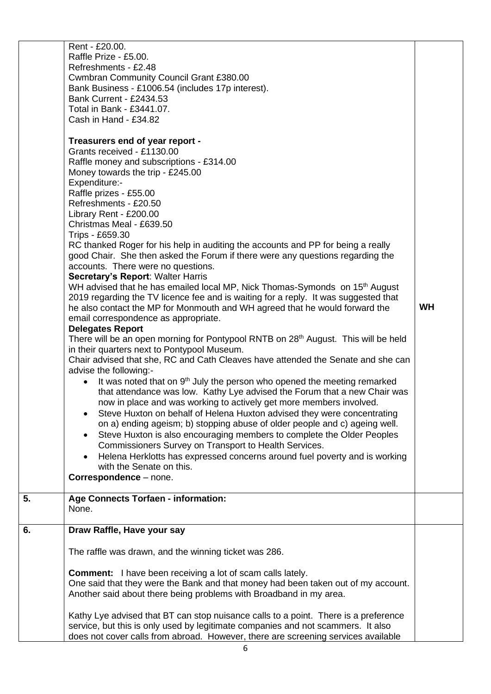|    | Rent - £20.00.<br>Raffle Prize - £5.00.<br>Refreshments - £2.48<br>Cwmbran Community Council Grant £380.00<br>Bank Business - £1006.54 (includes 17p interest).<br><b>Bank Current - £2434.53</b><br>Total in Bank - £3441.07.<br>Cash in Hand - £34.82<br>Treasurers end of year report -<br>Grants received - £1130.00<br>Raffle money and subscriptions - £314.00<br>Money towards the trip - £245.00<br>Expenditure:-<br>Raffle prizes - £55.00<br>Refreshments - £20.50<br>Library Rent - £200.00<br>Christmas Meal - £639.50<br>Trips - £659.30<br>RC thanked Roger for his help in auditing the accounts and PP for being a really<br>good Chair. She then asked the Forum if there were any questions regarding the<br>accounts. There were no questions.<br>Secretary's Report: Walter Harris<br>WH advised that he has emailed local MP, Nick Thomas-Symonds on 15 <sup>th</sup> August<br>2019 regarding the TV licence fee and is waiting for a reply. It was suggested that<br>he also contact the MP for Monmouth and WH agreed that he would forward the<br>email correspondence as appropriate.<br><b>Delegates Report</b><br>There will be an open morning for Pontypool RNTB on 28 <sup>th</sup> August. This will be held<br>in their quarters next to Pontypool Museum.<br>Chair advised that she, RC and Cath Cleaves have attended the Senate and she can<br>advise the following:-<br>It was noted that on 9 <sup>th</sup> July the person who opened the meeting remarked | <b>WH</b> |
|----|---------------------------------------------------------------------------------------------------------------------------------------------------------------------------------------------------------------------------------------------------------------------------------------------------------------------------------------------------------------------------------------------------------------------------------------------------------------------------------------------------------------------------------------------------------------------------------------------------------------------------------------------------------------------------------------------------------------------------------------------------------------------------------------------------------------------------------------------------------------------------------------------------------------------------------------------------------------------------------------------------------------------------------------------------------------------------------------------------------------------------------------------------------------------------------------------------------------------------------------------------------------------------------------------------------------------------------------------------------------------------------------------------------------------------------------------------------------------------------------------------|-----------|
|    | now in place and was working to actively get more members involved.<br>Steve Huxton on behalf of Helena Huxton advised they were concentrating<br>٠<br>on a) ending ageism; b) stopping abuse of older people and c) ageing well.<br>Steve Huxton is also encouraging members to complete the Older Peoples<br>$\bullet$<br>Commissioners Survey on Transport to Health Services.<br>Helena Herklotts has expressed concerns around fuel poverty and is working<br>$\bullet$<br>with the Senate on this.<br>Correspondence - none.                                                                                                                                                                                                                                                                                                                                                                                                                                                                                                                                                                                                                                                                                                                                                                                                                                                                                                                                                                |           |
|    |                                                                                                                                                                                                                                                                                                                                                                                                                                                                                                                                                                                                                                                                                                                                                                                                                                                                                                                                                                                                                                                                                                                                                                                                                                                                                                                                                                                                                                                                                                   |           |
| 5. | <b>Age Connects Torfaen - information:</b><br>None.                                                                                                                                                                                                                                                                                                                                                                                                                                                                                                                                                                                                                                                                                                                                                                                                                                                                                                                                                                                                                                                                                                                                                                                                                                                                                                                                                                                                                                               |           |
| 6. | Draw Raffle, Have your say                                                                                                                                                                                                                                                                                                                                                                                                                                                                                                                                                                                                                                                                                                                                                                                                                                                                                                                                                                                                                                                                                                                                                                                                                                                                                                                                                                                                                                                                        |           |
|    | The raffle was drawn, and the winning ticket was 286.<br><b>Comment:</b> I have been receiving a lot of scam calls lately.<br>One said that they were the Bank and that money had been taken out of my account.                                                                                                                                                                                                                                                                                                                                                                                                                                                                                                                                                                                                                                                                                                                                                                                                                                                                                                                                                                                                                                                                                                                                                                                                                                                                                   |           |
|    | Another said about there being problems with Broadband in my area.<br>Kathy Lye advised that BT can stop nuisance calls to a point. There is a preference<br>service, but this is only used by legitimate companies and not scammers. It also<br>does not cover calls from abroad. However, there are screening services available                                                                                                                                                                                                                                                                                                                                                                                                                                                                                                                                                                                                                                                                                                                                                                                                                                                                                                                                                                                                                                                                                                                                                                |           |